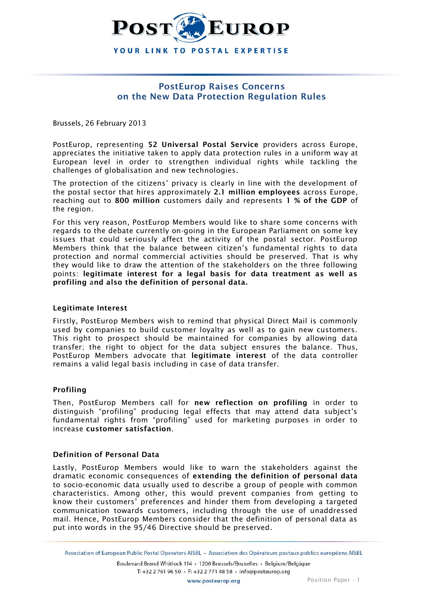

## **PostEurop Raises Concerns on the New Data Protection Regulation Rules**

Brussels, 26 February 2013

PostEurop, representing **52 Universal Postal Service** providers across Europe, appreciates the initiative taken to apply data protection rules in a uniform way at European level in order to strengthen individual rights while tackling the challenges of globalisation and new technologies.

The protection of the citizens' privacy is clearly in line with the development of the postal sector that hires approximately **2.1 million employees** across Europe, reaching out to **800 million** customers daily and represents **1 % of the GDP** of the region.

For this very reason, PostEurop Members would like to share some concerns with regards to the debate currently on-going in the European Parliament on some key issues that could seriously affect the activity of the postal sector. PostEurop Members think that the balance between citizen's fundamental rights to data protection and normal commercial activities should be preserved. That is why they would like to draw the attention of the stakeholders on the three following points: **legitimate interest for a legal basis for data treatment as well as profiling** a**nd also the definition of personal data.**

### **Legitimate Interest**

Firstly, PostEurop Members wish to remind that physical Direct Mail is commonly used by companies to build customer loyalty as well as to gain new customers. This right to prospect should be maintained for companies by allowing data transfer; the right to object for the data subject ensures the balance. Thus, PostEurop Members advocate that **legitimate interest** of the data controller remains a valid legal basis including in case of data transfer.

### **Profiling**

Then, PostEurop Members call for **new reflection on profiling** in order to distinguish "profiling" producing legal effects that may attend data subject's fundamental rights from "profiling" used for marketing purposes in order to increase **customer satisfaction**.

### **Definition of Personal Data**

Lastly, PostEurop Members would like to warn the stakeholders against the dramatic economic consequences of **extending the definition of personal data** to socio-economic data usually used to describe a group of people with common characteristics. Among other, this would prevent companies from getting to know their customers' preferences and hinder them from developing a targeted communication towards customers, including through the use of unaddressed mail. Hence, PostEurop Members consider that the definition of personal data as put into words in the 95/46 Directive should be preserved.

Association of European Public Postal Operators AISBL · Association des Opérateurs postaux publics européens AISBL

Boulevard Brand Whitlock 114 · 1200 Brussels/Bruxelles · Belgium/Belgique T: +32 2 761 96 50 · F: +32 2 771 48 58 · info@posteurop.org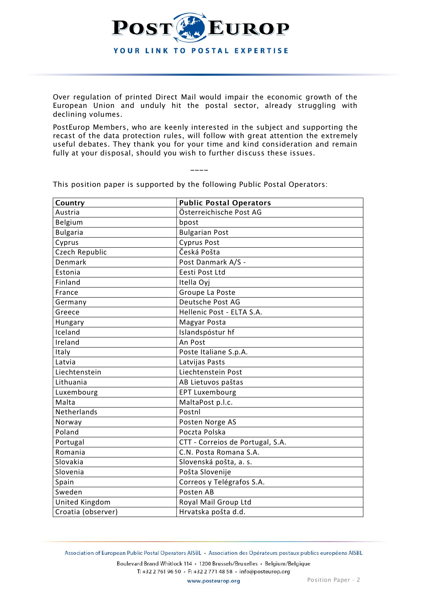

Over regulation of printed Direct Mail would impair the economic growth of the European Union and unduly hit the postal sector, already struggling with declining volumes.

PostEurop Members, who are keenly interested in the subject and supporting the recast of the data protection rules, will follow with great attention the extremely useful debates. They thank you for your time and kind consideration and remain fully at your disposal, should you wish to further discuss these issues.

| Country            | <b>Public Postal Operators</b>   |
|--------------------|----------------------------------|
| Austria            | Österreichische Post AG          |
| Belgium            | bpost                            |
| <b>Bulgaria</b>    | <b>Bulgarian Post</b>            |
| Cyprus             | <b>Cyprus Post</b>               |
| Czech Republic     | Česká Pošta                      |
| Denmark            | Post Danmark A/S -               |
| Estonia            | Eesti Post Ltd                   |
| Finland            | Itella Oyj                       |
| France             | Groupe La Poste                  |
| Germany            | Deutsche Post AG                 |
| Greece             | Hellenic Post - ELTA S.A.        |
| Hungary            | Magyar Posta                     |
| Iceland            | Islandspóstur hf                 |
| Ireland            | An Post                          |
| Italy              | Poste Italiane S.p.A.            |
| Latvia             | Latvijas Pasts                   |
| Liechtenstein      | Liechtenstein Post               |
| Lithuania          | AB Lietuvos paštas               |
| Luxembourg         | <b>EPT Luxembourg</b>            |
| Malta              | MaltaPost p.l.c.                 |
| Netherlands        | Postnl                           |
| Norway             | Posten Norge AS                  |
| Poland             | Poczta Polska                    |
| Portugal           | CTT - Correios de Portugal, S.A. |
| Romania            | C.N. Posta Romana S.A.           |
| Slovakia           | Slovenská pošta, a. s.           |
| Slovenia           | Pošta Slovenije                  |
| Spain              | Correos y Telégrafos S.A.        |
| Sweden             | Posten AB                        |
| United Kingdom     | Royal Mail Group Ltd             |
| Croatia (observer) | Hrvatska pošta d.d.              |

This position paper is supported by the following Public Postal Operators:

\_\_\_\_

Association of European Public Postal Operators AISBL • Association des Opérateurs postaux publics européens AISBL

Boulevard Brand Whitlock 114 · 1200 Brussels/Bruxelles · Belgium/Belgique T: +32 2 761 96 50 · F: +32 2 771 48 58 · info@posteurop.org